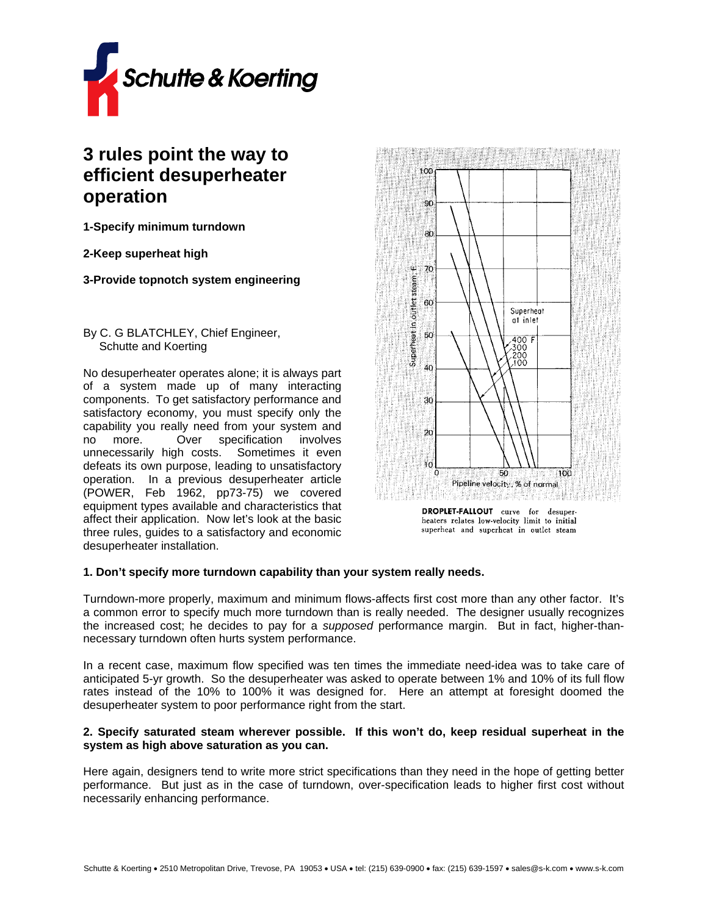

# **3 rules point the way to efficient desuperheater operation**

**1-Specify minimum turndown** 

**2-Keep superheat high** 

**3-Provide topnotch system engineering**

## By C. G BLATCHLEY, Chief Engineer, Schutte and Koerting

No desuperheater operates alone; it is always part of a system made up of many interacting components. To get satisfactory performance and satisfactory economy, you must specify only the capability you really need from your system and no more. Over specification involves unnecessarily high costs. Sometimes it even defeats its own purpose, leading to unsatisfactory operation. In a previous desuperheater article (POWER, Feb 1962, pp73-75) we covered equipment types available and characteristics that affect their application. Now let's look at the basic three rules, guides to a satisfactory and economic desuperheater installation.



heaters relates low-velocity limit to initial superheat and superheat in outlet steam

## **1. Don't specify more turndown capability than your system really needs.**

Turndown-more properly, maximum and minimum flows-affects first cost more than any other factor. It's a common error to specify much more turndown than is really needed. The designer usually recognizes the increased cost; he decides to pay for a *supposed* performance margin. But in fact, higher-thannecessary turndown often hurts system performance.

In a recent case, maximum flow specified was ten times the immediate need-idea was to take care of anticipated 5-yr growth. So the desuperheater was asked to operate between 1% and 10% of its full flow rates instead of the 10% to 100% it was designed for. Here an attempt at foresight doomed the desuperheater system to poor performance right from the start.

## **2. Specify saturated steam wherever possible. If this won't do, keep residual superheat in the system as high above saturation as you can.**

Here again, designers tend to write more strict specifications than they need in the hope of getting better performance. But just as in the case of turndown, over-specification leads to higher first cost without necessarily enhancing performance.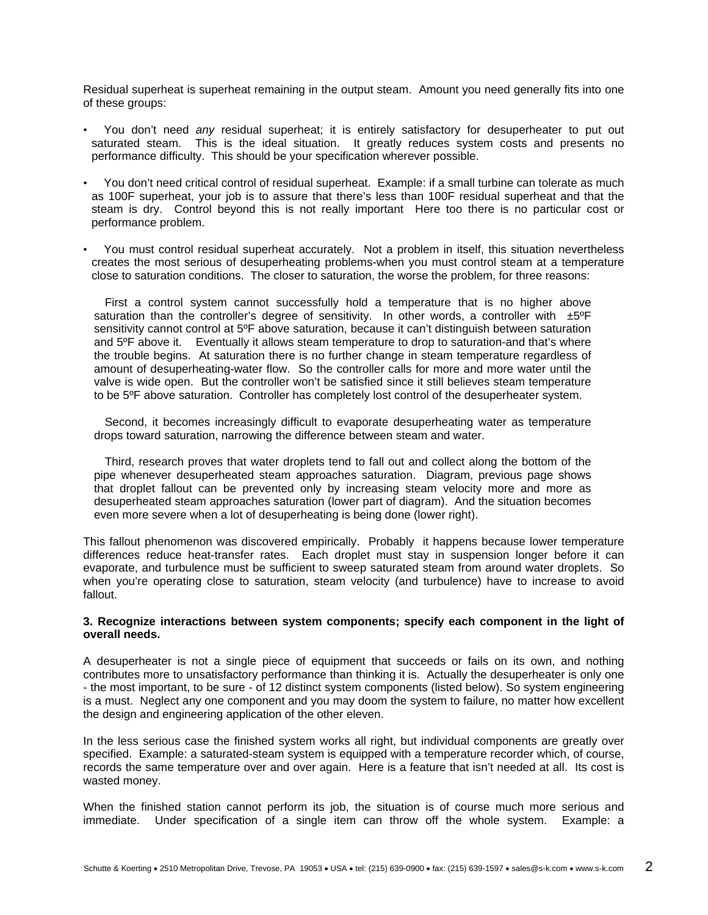Residual superheat is superheat remaining in the output steam. Amount you need generally fits into one of these groups:

- You don't need *any* residual superheat; it is entirely satisfactory for desuperheater to put out saturated steam. This is the ideal situation. It greatly reduces system costs and presents no performance difficulty. This should be your specification wherever possible.
- You don't need critical control of residual superheat. Example: if a small turbine can tolerate as much as 100F superheat, your job is to assure that there's less than 100F residual superheat and that the steam is dry. Control beyond this is not really important Here too there is no particular cost or performance problem.
- You must control residual superheat accurately. Not a problem in itself, this situation nevertheless creates the most serious of desuperheating problems-when you must control steam at a temperature close to saturation conditions. The closer to saturation, the worse the problem, for three reasons:

First a control system cannot successfully hold a temperature that is no higher above saturation than the controller's degree of sensitivity. In other words, a controller with  $\pm 5^{\circ}$ F sensitivity cannot control at 5ºF above saturation, because it can't distinguish between saturation and 5ºF above it. Eventually it allows steam temperature to drop to saturation-and that's where the trouble begins. At saturation there is no further change in steam temperature regardless of amount of desuperheating-water flow. So the controller calls for more and more water until the valve is wide open. But the controller won't be satisfied since it still believes steam temperature to be 5ºF above saturation. Controller has completely lost control of the desuperheater system.

Second, it becomes increasingly difficult to evaporate desuperheating water as temperature drops toward saturation, narrowing the difference between steam and water.

Third, research proves that water droplets tend to fall out and collect along the bottom of the pipe whenever desuperheated steam approaches saturation. Diagram, previous page shows that droplet fallout can be prevented only by increasing steam velocity more and more as desuperheated steam approaches saturation (lower part of diagram). And the situation becomes even more severe when a lot of desuperheating is being done (lower right).

This fallout phenomenon was discovered empirically. Probably it happens because lower temperature differences reduce heat-transfer rates. Each droplet must stay in suspension longer before it can evaporate, and turbulence must be sufficient to sweep saturated steam from around water droplets. So when you're operating close to saturation, steam velocity (and turbulence) have to increase to avoid fallout.

### **3. Recognize interactions between system components; specify each component in the light of overall needs.**

A desuperheater is not a single piece of equipment that succeeds or fails on its own, and nothing contributes more to unsatisfactory performance than thinking it is. Actually the desuperheater is only one - the most important, to be sure - of 12 distinct system components (listed below). So system engineering is a must. Neglect any one component and you may doom the system to failure, no matter how excellent the design and engineering application of the other eleven.

In the less serious case the finished system works all right, but individual components are greatly over specified. Example: a saturated-steam system is equipped with a temperature recorder which, of course, records the same temperature over and over again. Here is a feature that isn't needed at all. Its cost is wasted money.

When the finished station cannot perform its job, the situation is of course much more serious and immediate. Under specification of a single item can throw off the whole system. Example: a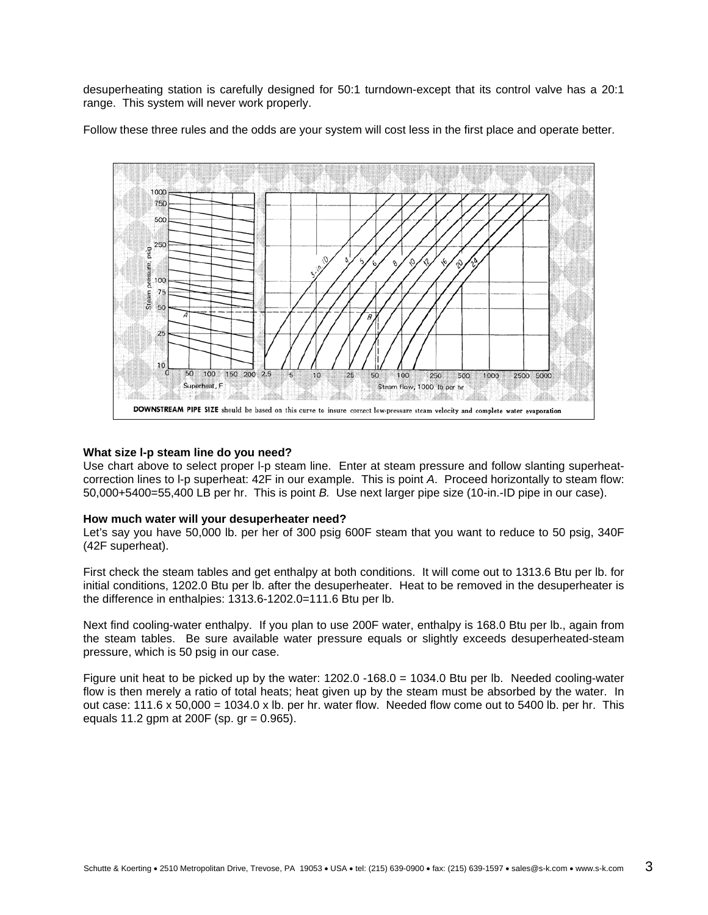desuperheating station is carefully designed for 50:1 turndown-except that its control valve has a 20:1 range. This system will never work properly.

Follow these three rules and the odds are your system will cost less in the first place and operate better.



#### **What size l-p steam line do you need?**

Use chart above to select proper l-p steam line. Enter at steam pressure and follow slanting superheatcorrection lines to l-p superheat: 42F in our example. This is point *A*. Proceed horizontally to steam flow: 50,000+5400=55,400 LB per hr. This is point *B.* Use next larger pipe size (10-in.-ID pipe in our case).

#### **How much water will your desuperheater need?**

Let's say you have 50,000 lb. per her of 300 psig 600F steam that you want to reduce to 50 psig, 340F (42F superheat).

First check the steam tables and get enthalpy at both conditions. It will come out to 1313.6 Btu per lb. for initial conditions, 1202.0 Btu per lb. after the desuperheater. Heat to be removed in the desuperheater is the difference in enthalpies: 1313.6-1202.0=111.6 Btu per lb.

Next find cooling-water enthalpy. If you plan to use 200F water, enthalpy is 168.0 Btu per lb., again from the steam tables. Be sure available water pressure equals or slightly exceeds desuperheated-steam pressure, which is 50 psig in our case.

Figure unit heat to be picked up by the water: 1202.0 -168.0 = 1034.0 Btu per lb. Needed cooling-water flow is then merely a ratio of total heats; heat given up by the steam must be absorbed by the water. In out case:  $111.6 \times 50,000 = 1034.0 \times$  lb. per hr. water flow. Needed flow come out to 5400 lb. per hr. This equals 11.2 gpm at 200F (sp. gr = 0.965).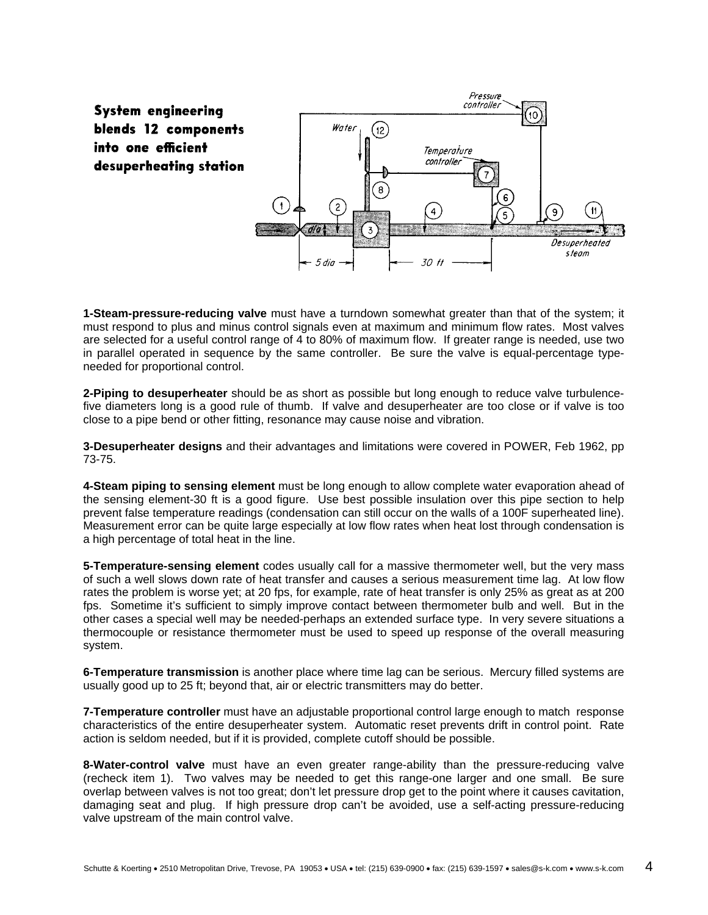

**1-Steam-pressure-reducing valve** must have a turndown somewhat greater than that of the system; it must respond to plus and minus control signals even at maximum and minimum flow rates. Most valves are selected for a useful control range of 4 to 80% of maximum flow. If greater range is needed, use two in parallel operated in sequence by the same controller. Be sure the valve is equal-percentage typeneeded for proportional control.

**2-Piping to desuperheater** should be as short as possible but long enough to reduce valve turbulencefive diameters long is a good rule of thumb. If valve and desuperheater are too close or if valve is too close to a pipe bend or other fitting, resonance may cause noise and vibration.

**3-Desuperheater designs** and their advantages and limitations were covered in POWER, Feb 1962, pp 73-75.

**4-Steam piping to sensing element** must be long enough to allow complete water evaporation ahead of the sensing element-30 ft is a good figure. Use best possible insulation over this pipe section to help prevent false temperature readings (condensation can still occur on the walls of a 100F superheated line). Measurement error can be quite large especially at low flow rates when heat lost through condensation is a high percentage of total heat in the line.

**5-Temperature-sensing element** codes usually call for a massive thermometer well, but the very mass of such a well slows down rate of heat transfer and causes a serious measurement time lag. At low flow rates the problem is worse yet; at 20 fps, for example, rate of heat transfer is only 25% as great as at 200 fps. Sometime it's sufficient to simply improve contact between thermometer bulb and well. But in the other cases a special well may be needed-perhaps an extended surface type. In very severe situations a thermocouple or resistance thermometer must be used to speed up response of the overall measuring system.

**6-Temperature transmission** is another place where time lag can be serious. Mercury filled systems are usually good up to 25 ft; beyond that, air or electric transmitters may do better.

**7-Temperature controller** must have an adjustable proportional control large enough to match response characteristics of the entire desuperheater system. Automatic reset prevents drift in control point. Rate action is seldom needed, but if it is provided, complete cutoff should be possible.

**8-Water-control valve** must have an even greater range-ability than the pressure-reducing valve (recheck item 1). Two valves may be needed to get this range-one larger and one small. Be sure overlap between valves is not too great; don't let pressure drop get to the point where it causes cavitation, damaging seat and plug. If high pressure drop can't be avoided, use a self-acting pressure-reducing valve upstream of the main control valve.